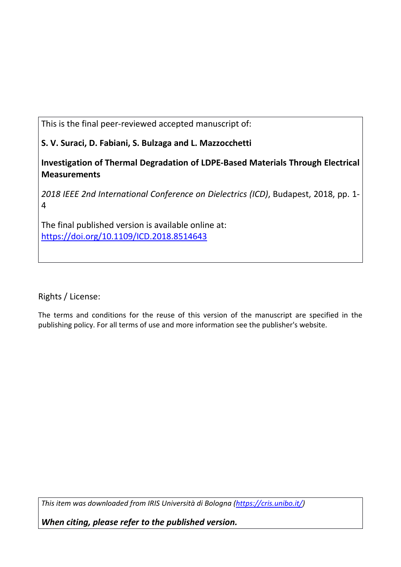This is the final peer-reviewed accepted manuscript of:

S. V. Suraci, D. Fabiani, S. Bulzaga and L. Mazzocchetti

Investigation of Thermal Degradation of LDPE-Based Materials Through Electrical **Measurements** 

*2018 IEEE 2nd International Conference on Dielectrics (ICD)*, Budapest, 2018, pp. 1- 4

The final published version is available online at: https://doi.org/10.1109/ICD.2018.8514643

Rights / License:

The terms and conditions for the reuse of this version of the manuscript are specified in the publishing policy. For all terms of use and more information see the publisher's website.

*This item was downloaded from IRIS Università di Bologna (https://cris.unibo.it/)*

*When citing, please refer to the published version.*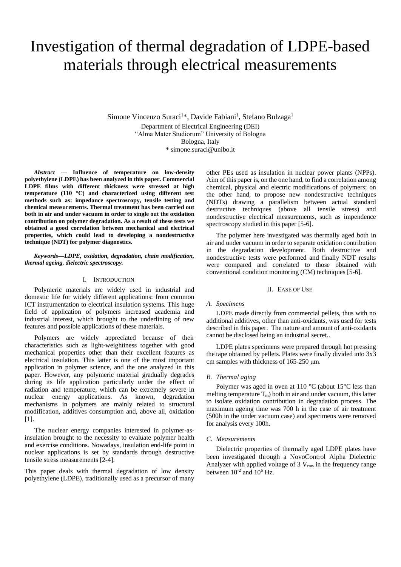# Investigation of thermal degradation of LDPE-based materials through electrical measurements

Simone Vincenzo Suraci<sup>1\*</sup>, Davide Fabiani<sup>1</sup>, Stefano Bulzaga<sup>1</sup> Department of Electrical Engineering (DEI) "Alma Mater Studiorum" University of Bologna Bologna, Italy \* simone.suraci@unibo.it

*Abstract* **— Influence of temperature on low-density polyethylene (LDPE) has been analyzed in this paper. Commercial LDPE films with different thickness were stressed at high temperature (110 °C) and characterized using different test methods such as: impedance spectroscopy, tensile testing and chemical measurements. Thermal treatment has been carried out both in air and under vacuum in order to single out the oxidation contribution on polymer degradation. As a result of these tests we obtained a good correlation between mechanical and electrical properties, which could lead to developing a nondestructive technique (NDT) for polymer diagnostics.**

*Keywords—LDPE, oxidation, degradation, chain modification, thermal ageing, dielectric spectroscopy.*

# I. INTRODUCTION

Polymeric materials are widely used in industrial and domestic life for widely different applications: from common ICT instrumentation to electrical insulation systems. This huge field of application of polymers increased academia and industrial interest, which brought to the underlining of new features and possible applications of these materials.

Polymers are widely appreciated because of their characteristics such as light-weightiness together with good mechanical properties other than their excellent features as electrical insulation. This latter is one of the most important application in polymer science, and the one analyzed in this paper. However, any polymeric material gradually degrades during its life application particularly under the effect of radiation and temperature, which can be extremely severe in nuclear energy applications. As known, degradation mechanisms in polymers are mainly related to structural modification, additives consumption and, above all, oxidation [1].

The nuclear energy companies interested in polymer-asinsulation brought to the necessity to evaluate polymer health and exercise conditions. Nowadays, insulation end-life point in nuclear applications is set by standards through destructive tensile stress measurements [2-4].

This paper deals with thermal degradation of low density polyethylene (LDPE), traditionally used as a precursor of many other PEs used as insulation in nuclear power plants (NPPs). Aim of this paper is, on the one hand, to find a correlation among chemical, physical and electric modifications of polymers; on the other hand, to propose new nondestructive techniques (NDTs) drawing a parallelism between actual standard destructive techniques (above all tensile stress) and nondestructive electrical measurements, such as impendence spectroscopy studied in this paper [5-6].

The polymer here investigated was thermally aged both in air and under vacuum in order to separate oxidation contribution in the degradation development. Both destructive and nondestructive tests were performed and finally NDT results were compared and correlated to those obtained with conventional condition monitoring (CM) techniques [5-6].

## II. EASE OF USE

### *A. Specimens*

LDPE made directly from commercial pellets, thus with no additional additives, other than anti-oxidants, was used for tests described in this paper. The nature and amount of anti-oxidants cannot be disclosed being an industrial secret..

LDPE plates specimens were prepared through hot pressing the tape obtained by pellets. Plates were finally divided into 3x3 cm samples with thickness of 165-250 μm.

## *B. Thermal aging*

Polymer was aged in oven at 110  $^{\circ}$ C (about 15 $^{\circ}$ C less than melting temperature  $T_m$ ) both in air and under vacuum, this latter to isolate oxidation contribution in degradation process. The maximum ageing time was 700 h in the case of air treatment (500h in the under vacuum case) and specimens were removed for analysis every 100h.

# *C. Measurements*

Dielectric properties of thermally aged LDPE plates have been investigated through a NovoControl Alpha Dielectric Analyzer with applied voltage of  $3$  V<sub>rms</sub> in the frequency range between  $10^{-2}$  and  $10^{6}$  Hz.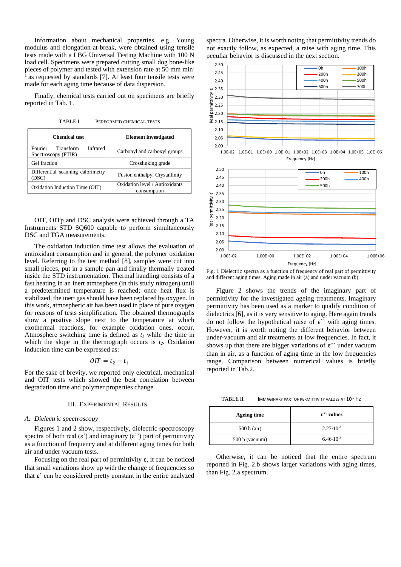Information about mechanical properties, e.g. Young modulus and elongation-at-break, were obtained using tensile tests made with a LBG Universal Testing Machine with 100 N load cell. Specimens were prepared cutting small dog bone-like pieces of polymer and tested with extension rate at 50 mm minas requested by standards [7]. At least four tensile tests were made for each aging time because of data dispersion.

Finally, chemical tests carried out on specimens are briefly reported in Tab. 1.

TABLE I. PERFORMED CHEMICAL TESTS

| <b>Chemical test</b>                                    | <b>Element</b> investigated                   |
|---------------------------------------------------------|-----------------------------------------------|
| Fourier<br>Infrared<br>Transform<br>Spectroscopy (FTIR) | Carbonyl and carboxyl groups                  |
| Gel fraction                                            | Crosslinking grade                            |
| Differential scanning calorimetry<br>(DSC)              | Fusion enthalpy, Crystallinity                |
| Oxidation Induction Time (OIT)                          | Oxidation level / Antioxidants<br>consumption |

OIT, OITp and DSC analysis were achieved through a TA Instruments STD SQ600 capable to perform simultaneously DSC and TGA measurements.

The oxidation induction time test allows the evaluation of antioxidant consumption and in general, the polymer oxidation level. Referring to the test method [8], samples were cut into small pieces, put in a sample pan and finally thermally treated inside the STD instrumentation. Thermal handling consists of a fast heating in an inert atmosphere (in this study nitrogen) until a predetermined temperature is reached; once heat flux is stabilized, the inert gas should have been replaced by oxygen. In this work, atmospheric air has been used in place of pure oxygen for reasons of tests simplification. The obtained thermographs show a positive slope next to the temperature at which exothermal reactions, for example oxidation ones, occur. Atmosphere switching time is defined as *t<sup>1</sup>* while the time in which the slope in the thermograph occurs is  $t_2$ . Oxidation induction time can be expressed as:

$$
OIT = t_2 - t_1
$$

For the sake of brevity, we reported only electrical, mechanical and OIT tests which showed the best correlation between degradation time and polymer properties change.

# III. EXPERIMENTAL RESULTS

#### *A. Dielectric spectroscopy*

Figures 1 and 2 show, respectively, dielectric spectroscopy spectra of both real  $(\epsilon')$  and imaginary  $(\epsilon'')$  part of permittivity as a function of frequency and at different aging times for both air and under vacuum tests.

Focusing on the real part of permittivity  $\varepsilon$ , it can be noticed that small variations show up with the change of frequencies so that ε' can be considered pretty constant in the entire analyzed

spectra. Otherwise, it is worth noting that permittivity trends do not exactly follow, as expected, a raise with aging time. This peculiar behavior is discussed in the next section.



Fig. 1 Dielectric spectra as a function of frequency of real part of permittivity and different aging times. Aging made in air (a) and under vacuum (b).

Figure 2 shows the trends of the imaginary part of permittivity for the investigated ageing treatments. Imaginary permittivity has been used as a marker to qualify condition of dielectrics [6], as it is very sensitive to aging. Here again trends do not follow the hypothetical raise of ε'' with aging times. However, it is worth noting the different behavior between under-vacuum and air treatments at low frequencies. In fact, it shows up that there are bigger variations of  $\varepsilon$ " under vacuum than in air, as a function of aging time in the low frequencies range. Comparison between numerical values is briefly reported in Tab.2.

TABLE II. IMMAGINARY PART OF PERMITTIVITY VALUES AT 10<sup>-2</sup> Hz

| <b>Ageing time</b> | $\epsilon$ " values  |
|--------------------|----------------------|
| $500 h$ (air)      | $2.27 \cdot 10^{-3}$ |
| 500 h (vacuum)     | $6.46 \cdot 10^{-3}$ |

Otherwise, it can be noticed that the entire spectrum reported in Fig. 2.b shows larger variations with aging times, than Fig. 2.a spectrum.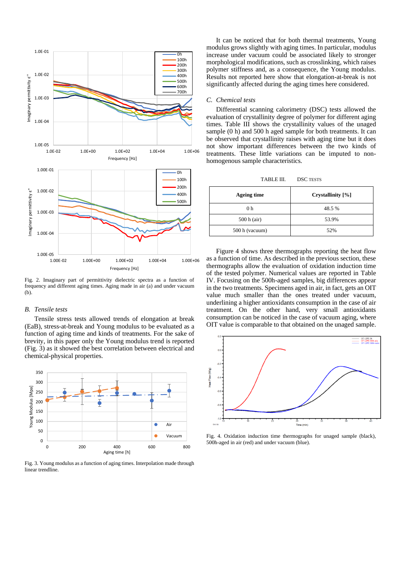

Fig. 2. Imaginary part of permittivity dielectric spectra as a function of frequency and different aging times. Aging made in air (a) and under vacuum (b).

# *B. Tensile tests*

Tensile stress tests allowed trends of elongation at break (EaB), stress-at-break and Young modulus to be evaluated as a function of aging time and kinds of treatments. For the sake of brevity, in this paper only the Young modulus trend is reported (Fig. 3) as it showed the best correlation between electrical and chemical-physical properties.



Fig. 3. Young modulus as a function of aging times. Interpolation made through linear trendline.

It can be noticed that for both thermal treatments, Young modulus grows slightly with aging times. In particular, modulus increase under vacuum could be associated likely to stronger morphological modifications, such as crosslinking, which raises polymer stiffness and, as a consequence, the Young modulus. Results not reported here show that elongation-at-break is not significantly affected during the aging times here considered.

# *C. Chemical tests*

Differential scanning calorimetry (DSC) tests allowed the evaluation of crystallinity degree of polymer for different aging times. Table III shows the crystallinity values of the unaged sample (0 h) and 500 h aged sample for both treatments. It can be observed that crystallinity raises with aging time but it does not show important differences between the two kinds of treatments. These little variations can be imputed to nonhomogenous sample characteristics.

TABLE III. DSC TESTS

| Ageing time    | Crystallinity [%] |
|----------------|-------------------|
| 0 h            | 48.5 %            |
| $500 h$ (air)  | 53.9%             |
| 500 h (vacuum) | 52%               |

Figure 4 shows three thermographs reporting the heat flow as a function of time. As described in the previous section, these thermographs allow the evaluation of oxidation induction time of the tested polymer. Numerical values are reported in Table IV. Focusing on the 500h-aged samples, big differences appear in the two treatments. Specimens aged in air, in fact, gets an OIT value much smaller than the ones treated under vacuum, underlining a higher antioxidants consumption in the case of air treatment. On the other hand, very small antioxidants consumption can be noticed in the case of vacuum aging, where OIT value is comparable to that obtained on the unaged sample.



Fig. 4. Oxidation induction time thermographs for unaged sample (black), 500h-aged in air (red) and under vacuum (blue).